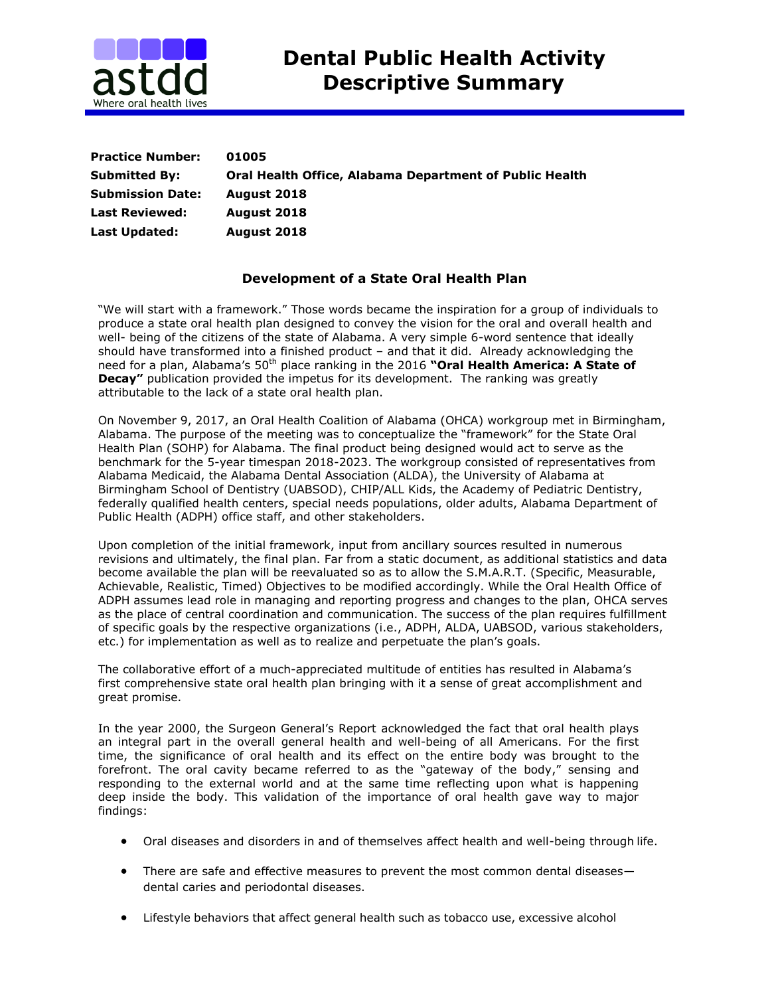

| <b>Practice Number:</b> | 01005                                                   |
|-------------------------|---------------------------------------------------------|
| <b>Submitted By:</b>    | Oral Health Office, Alabama Department of Public Health |
| <b>Submission Date:</b> | August 2018                                             |
| <b>Last Reviewed:</b>   | August 2018                                             |
| Last Updated:           | August 2018                                             |

## **Development of a State Oral Health Plan**

"We will start with a framework." Those words became the inspiration for a group of individuals to produce a state oral health plan designed to convey the vision for the oral and overall health and well- being of the citizens of the state of Alabama. A very simple 6-word sentence that ideally should have transformed into a finished product – and that it did. Already acknowledging the need for a plan, Alabama's 50<sup>th</sup> place ranking in the 2016 "Oral Health America: A State of **Decay"** publication provided the impetus for its development. The ranking was greatly attributable to the lack of a state oral health plan.

On November 9, 2017, an Oral Health Coalition of Alabama (OHCA) workgroup met in Birmingham, Alabama. The purpose of the meeting was to conceptualize the "framework" for the State Oral Health Plan (SOHP) for Alabama. The final product being designed would act to serve as the benchmark for the 5-year timespan 2018-2023. The workgroup consisted of representatives from Alabama Medicaid, the Alabama Dental Association (ALDA), the University of Alabama at Birmingham School of Dentistry (UABSOD), CHIP/ALL Kids, the Academy of Pediatric Dentistry, federally qualified health centers, special needs populations, older adults, Alabama Department of Public Health (ADPH) office staff, and other stakeholders.

Upon completion of the initial framework, input from ancillary sources resulted in numerous revisions and ultimately, the final plan. Far from a static document, as additional statistics and data become available the plan will be reevaluated so as to allow the S.M.A.R.T. (Specific, Measurable, Achievable, Realistic, Timed) Objectives to be modified accordingly. While the Oral Health Office of ADPH assumes lead role in managing and reporting progress and changes to the plan, OHCA serves as the place of central coordination and communication. The success of the plan requires fulfillment of specific goals by the respective organizations (i.e., ADPH, ALDA, UABSOD, various stakeholders, etc.) for implementation as well as to realize and perpetuate the plan's goals.

The collaborative effort of a much-appreciated multitude of entities has resulted in Alabama's first comprehensive state oral health plan bringing with it a sense of great accomplishment and great promise.

In the year 2000, the Surgeon General's Report acknowledged the fact that oral health plays an integral part in the overall general health and well-being of all Americans. For the first time, the significance of oral health and its effect on the entire body was brought to the forefront. The oral cavity became referred to as the "gateway of the body," sensing and responding to the external world and at the same time reflecting upon what is happening deep inside the body. This validation of the importance of oral health gave way to major findings:

- Oral diseases and disorders in and of themselves affect health and well-being through life.
- There are safe and effective measures to prevent the most common dental diseases dental caries and periodontal diseases.
- Lifestyle behaviors that affect general health such as tobacco use, excessive alcohol